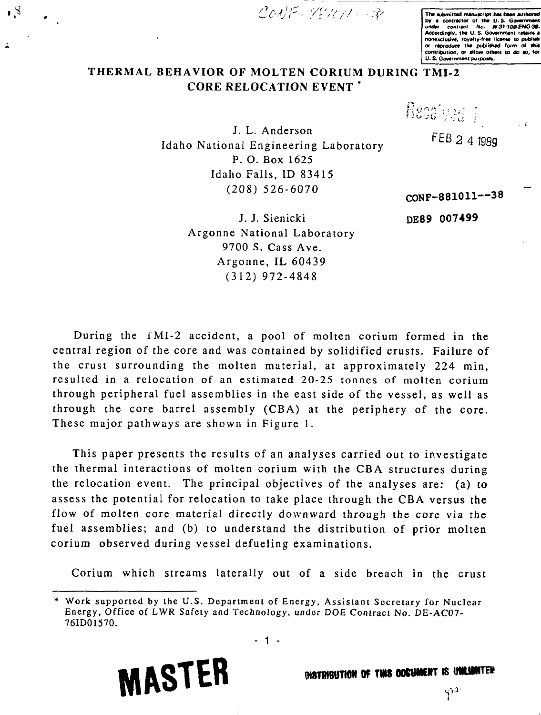/ V **Tht wbmittcd manuicript ha\* bun authored**

**by a contractor of the U.S. Government**<br>under contract No. W-31-100-ENG**uadf contract Ho. W 3 J - J 09-£NG\*3S\* Accordingly, th\* O. S- 6ov#rnm#nl retains a** nonexclusive, royalty-free license to publish or raproduce the published form of this **contribution, or allow Olhwt to do no, for U. S. Gov»rnm#oi purpoats.**

## **THERMAL BEHAVIOR OF MOLTEN CORIUM DURING TMI-2 CORE RELOCATION EVENT** \*

 $\cdot$  8

J. L. Anderson Idaho National Engineering Laboratory P. O. Box 1625 Idaho Falls, ID 83415 (208) 526-6070

FEB 2 4 1989

**CONF-881011—38**

**DE89 007499**

Readved 1

J. J. Sienicki Argonne National Laboratory 9700 S. Cass Ave. Argonne, IL 60439 (312) 972-4848

During the TMI-2 accident, a pool of molten corium formed in the central region of the core and was contained by solidified crusts. Failure of the crust surrounding the molten material, at approximately 224 min, resulted in a relocation of an estimated 20-25 tonnes of molten corium through peripheral fuel assemblies in the east side of the vessel, as well as through the core barrel assembly (CBA) at the periphery of the core. These major pathways are shown in Figure 1.

This paper presents the results of an analyses carried out to investigate the thermal interactions of molten corium with the CBA structures during the relocation event. The principal objectives of the analyses are: (a) to assess the potential for relocation to take place through the CBA versus the flow of molten core material directly downward through the core via the fuel assemblies; and (b) to understand the distribution of prior molten corium observed during vessel defueling examinations.

Corium which streams laterally out of a side breach in the crust



W8TWBUTHON OF TWS OOCUMENT IS UNLIMITER

 $\varphi$ 

<sup>\*</sup> Work supported by the U.S. Department of Energy, Assistant Secretary for Nuclear Energy, Office of LWR Safety and Technology, under DOE Contract No. DE-AC07- 76ID01570.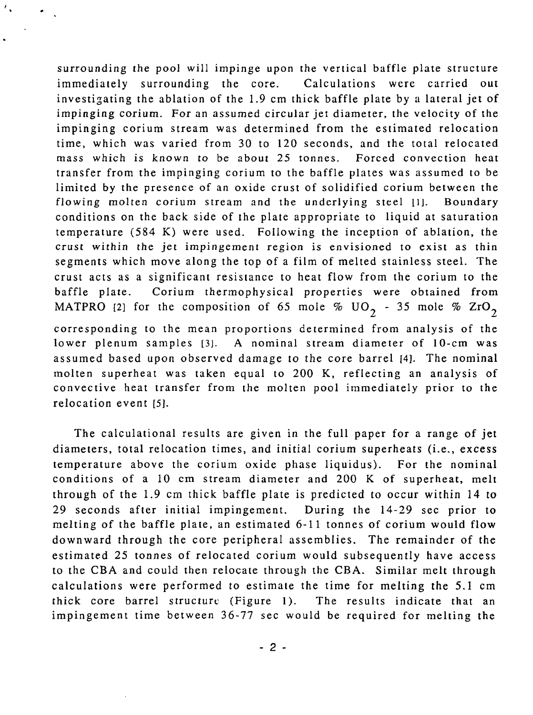surrounding the pool will impinge upon the vertical baffle plate structure immediately surrounding the core. Calculations were carried out investigating the ablation of the 1.9 cm thick baffle plate by a lateral jet of impinging corium. For an assumed circular jet diameter, the velocity of the impinging corium stream was determined from the estimated relocation time, which was varied from 30 to 120 seconds, and the total relocated mass which *is* known to be about 25 tonnes. Forced convection heat transfer from the impinging corium to the baffle plates was assumed to be limited by the presence of an oxide crust of solidified corium between the flowing molten corium stream and the underlying steel [1]. Boundary conditions on the back side of the plate appropriate to liquid at saturation temperature (584 K) were used. Following the inception of ablation, the crust within the jet impingement region is envisioned to exist as thin segments which move along the top of a film of melted stainless steel. The crust acts as a significant resistance to heat flow from the corium to the baffle plate. Corium thermophysical properties were obtained from MATPRO [2] for the composition of 65 mole %  $UO_2$  - 35 mole %  $ZrO_2$ corresponding to the mean proportions determined from analysis of the lower plenum samples [3]. A nominal stream diameter of 10-cm was assumed based upon observed damage to the core barrel [4]. The nominal molten superheat was taken equal to 200 K, reflecting an analysis of convective heat transfer from the molten pool immediately prior to the relocation event [5].

The calculational results are given in the full paper for a range of jet diameters, total relocation times, and initial corium superheats (i.e., excess temperature above the corium oxide phase liquidus). For the nominal conditions of a 10 cm stream diameter and 200 K of superheat, melt through of the 1.9 cm thick baffle plate is predicted to occur within 14 to 29 seconds after initial impingement. During the 14-29 sec prior to melting of the baffle plate, an estimated 6-11 tonnes of corium would flow downward through the core peripheral assemblies. The remainder of the estimated 25 tonnes of relocated corium would subsequently have access to the CBA and could then relocate through the CBA. Similar melt through calculations were performed to estimate the time for melting the 5.1 cm thick core barrel structure (Figure 1). The results indicate that an impingement time between 36-77 sec would be required for melting the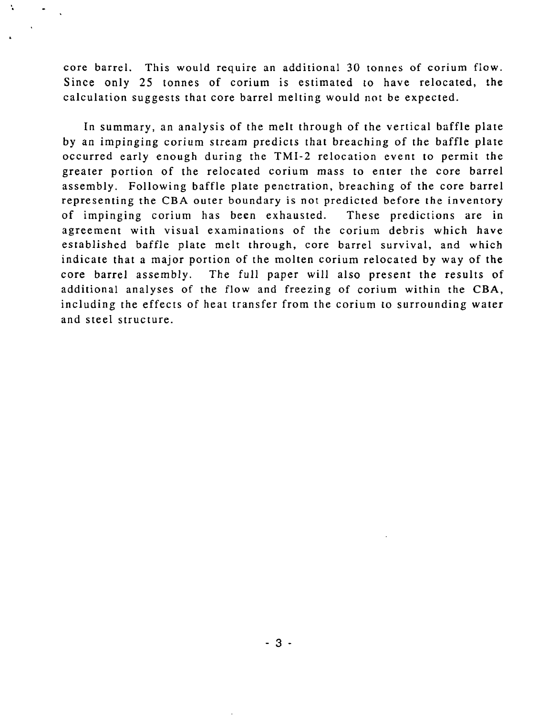core barrel. This would require an additional 30 tonnes of corium flow. Since only 25 tonnes of corium is estimated to have relocated, the calculation suggests that core barrel melting would not be expected.

N.

In summary, an analysis of the melt through of the vertical baffle plate by an impinging corium stream predicts that breaching of the baffle plate occurred early enough during the TMI-2 relocation event to permit the greater portion of the relocated corium mass to enter the core barrel assembly. Following baffle plate penetration, breaching of the core barrel representing the CBA outer boundary is not predicted before the inventory of impinging corium has been exhausted. These predictions are in agreement with visual examinations of the corium debris which have established baffle plate melt through, core barrel survival, and which indicate that a major portion of the molten corium relocated by way of the core barrel assembly. The full paper will also present the results of additional analyses of the flow and freezing of corium within the CBA, including the effects of heat transfer from the corium to surrounding water and steel structure.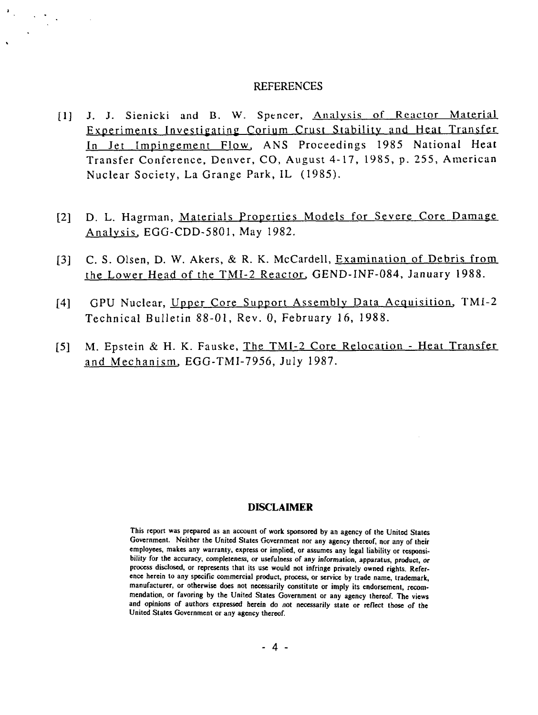## **REFERENCES**

 $\frac{1}{2} \sum_{i=1}^n \frac{1}{2} \sum_{j=1}^n \frac{1}{2} \sum_{j=1}^n \frac{1}{2} \sum_{j=1}^n \frac{1}{2} \sum_{j=1}^n \frac{1}{2} \sum_{j=1}^n \frac{1}{2} \sum_{j=1}^n \frac{1}{2} \sum_{j=1}^n \frac{1}{2} \sum_{j=1}^n \frac{1}{2} \sum_{j=1}^n \frac{1}{2} \sum_{j=1}^n \frac{1}{2} \sum_{j=1}^n \frac{1}{2} \sum_{j=1}^n \frac{1}{2} \sum_{j=$ 

- [1] J. J. Sienicki and B. W. Spencer, Analysis of Reactor Material Experiments Investigating Corium Crust Stability and Heat Transfer In Jet Impingement Flow, ANS Proceedings 1985 National Heat Transfer Conference, Denver, CO, August 4-17, 1985, p. 255, American Nuclear Society, La Grange Park, IL (1985).
- [2] D. L. Hagrman, Materials Properties Models for Severe Core Damage Analysis. EGG-CDD-5801, May 1982.
- [3] C. S. Olsen, D. W. Akers, & R. K. McCardell, Examination of Debris from the Lower Head of the TMI-2 Reactor. GEND-INF-084, January 1988.
- [4] GPU Nuclear, Upper Core Support Assembly Data Acquisition. TMI-2 Technical Bulletin 88-01, Rev. 0, February 16, 1988.
- [5] M. Epstein & H. K. Fauske, The TMI-2 Core Relocation Heat Transfer and Mechanism. EGG-TMI-7956, July 1987.

## **DISCLAIMER**

**This report was prepared as an account of work sponsored by an agency of the United States Government. Neither the United States Government nor any agency thereof, nor any of their employees, makes any warranty, express or implied, or assumes any legal liability or responsibility for the accuracy, completeness, or usefulness of any information, apparatus, product,** *or* **process disclosed, or represents that its use would not infringe privately owned rights. Reference herein to any specific commercial product, process, or service by trade name, trademark, manufacturer, or otherwise does not necessarily constitute or imply its endorsement, recommendation, or favoring by the United States Government or any agency thereof. The views and opinions of authors expressed herein do not necessarily state or reflect those of the United States Government or any agency thereof.**